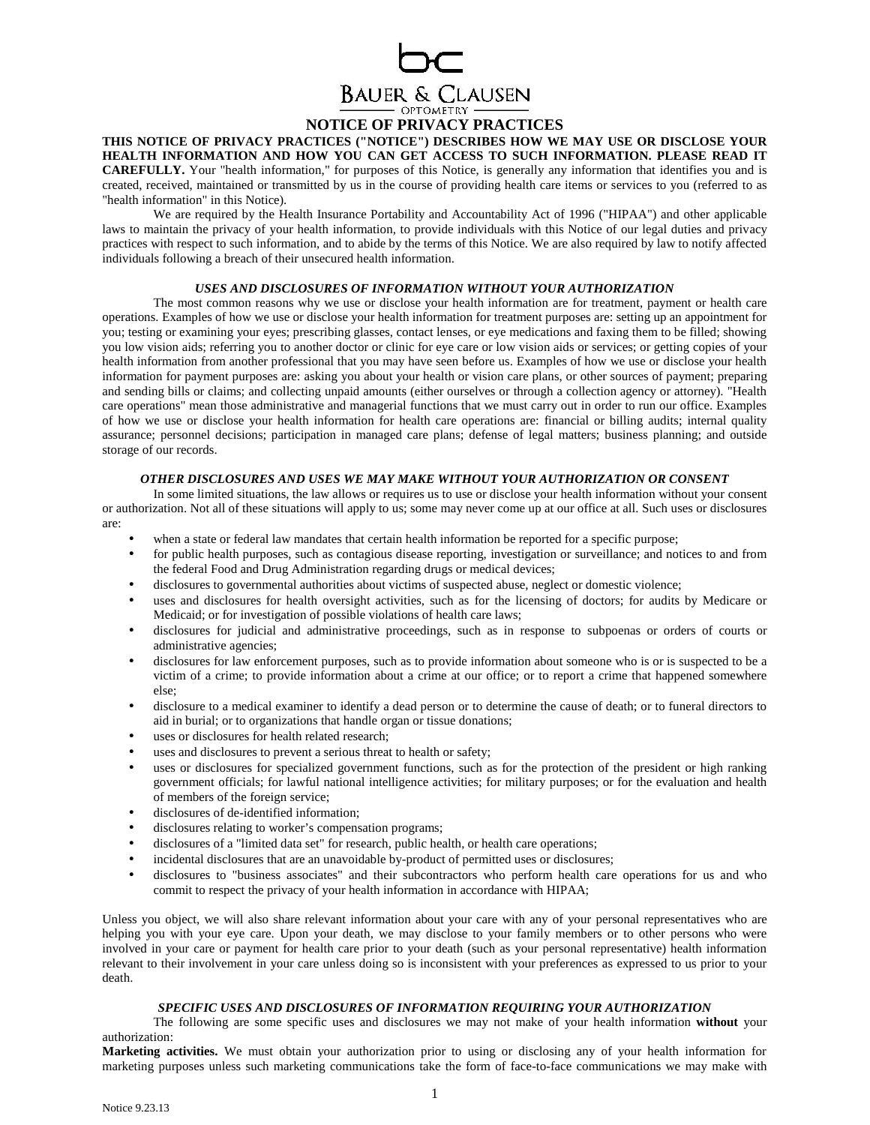

**NOTICE OF PRIVACY PRACTICES THIS NOTICE OF PRIVACY PRACTICES ("NOTICE") DESCRIBES HOW WE MAY USE OR DISCLOSE YOUR HEALTH INFORMATION AND HOW YOU CAN GET ACCESS TO SUCH INFORMATION. PLEASE READ IT CAREFULLY.** Your "health information," for purposes of this Notice, is generally any information that identifies you and is created, received, maintained or transmitted by us in the course of providing health care items or services to you (referred to as "health information" in this Notice).

We are required by the Health Insurance Portability and Accountability Act of 1996 ("HIPAA") and other applicable laws to maintain the privacy of your health information, to provide individuals with this Notice of our legal duties and privacy practices with respect to such information, and to abide by the terms of this Notice. We are also required by law to notify affected individuals following a breach of their unsecured health information.

## *USES AND DISCLOSURES OF INFORMATION WITHOUT YOUR AUTHORIZATION*

The most common reasons why we use or disclose your health information are for treatment, payment or health care operations. Examples of how we use or disclose your health information for treatment purposes are: setting up an appointment for you; testing or examining your eyes; prescribing glasses, contact lenses, or eye medications and faxing them to be filled; showing you low vision aids; referring you to another doctor or clinic for eye care or low vision aids or services; or getting copies of your health information from another professional that you may have seen before us. Examples of how we use or disclose your health information for payment purposes are: asking you about your health or vision care plans, or other sources of payment; preparing and sending bills or claims; and collecting unpaid amounts (either ourselves or through a collection agency or attorney). "Health care operations" mean those administrative and managerial functions that we must carry out in order to run our office. Examples of how we use or disclose your health information for health care operations are: financial or billing audits; internal quality assurance; personnel decisions; participation in managed care plans; defense of legal matters; business planning; and outside storage of our records.

### *OTHER DISCLOSURES AND USES WE MAY MAKE WITHOUT YOUR AUTHORIZATION OR CONSENT*

In some limited situations, the law allows or requires us to use or disclose your health information without your consent or authorization. Not all of these situations will apply to us; some may never come up at our office at all. Such uses or disclosures are:

- when a state or federal law mandates that certain health information be reported for a specific purpose;
- for public health purposes, such as contagious disease reporting, investigation or surveillance; and notices to and from the federal Food and Drug Administration regarding drugs or medical devices;
- disclosures to governmental authorities about victims of suspected abuse, neglect or domestic violence;
- uses and disclosures for health oversight activities, such as for the licensing of doctors; for audits by Medicare or Medicaid; or for investigation of possible violations of health care laws;
- disclosures for judicial and administrative proceedings, such as in response to subpoenas or orders of courts or administrative agencies;
- disclosures for law enforcement purposes, such as to provide information about someone who is or is suspected to be a victim of a crime; to provide information about a crime at our office; or to report a crime that happened somewhere else;
- disclosure to a medical examiner to identify a dead person or to determine the cause of death; or to funeral directors to aid in burial; or to organizations that handle organ or tissue donations;
- uses or disclosures for health related research;
- uses and disclosures to prevent a serious threat to health or safety;
- uses or disclosures for specialized government functions, such as for the protection of the president or high ranking government officials; for lawful national intelligence activities; for military purposes; or for the evaluation and health of members of the foreign service;
- disclosures of de-identified information;
- disclosures relating to worker's compensation programs;
- disclosures of a "limited data set" for research, public health, or health care operations;
- incidental disclosures that are an unavoidable by-product of permitted uses or disclosures;
- disclosures to "business associates" and their subcontractors who perform health care operations for us and who commit to respect the privacy of your health information in accordance with HIPAA;

Unless you object, we will also share relevant information about your care with any of your personal representatives who are helping you with your eye care. Upon your death, we may disclose to your family members or to other persons who were involved in your care or payment for health care prior to your death (such as your personal representative) health information relevant to their involvement in your care unless doing so is inconsistent with your preferences as expressed to us prior to your death.

### *SPECIFIC USES AND DISCLOSURES OF INFORMATION REQUIRING YOUR AUTHORIZATION*

The following are some specific uses and disclosures we may not make of your health information **without** your authorization:

**Marketing activities.** We must obtain your authorization prior to using or disclosing any of your health information for marketing purposes unless such marketing communications take the form of face-to-face communications we may make with